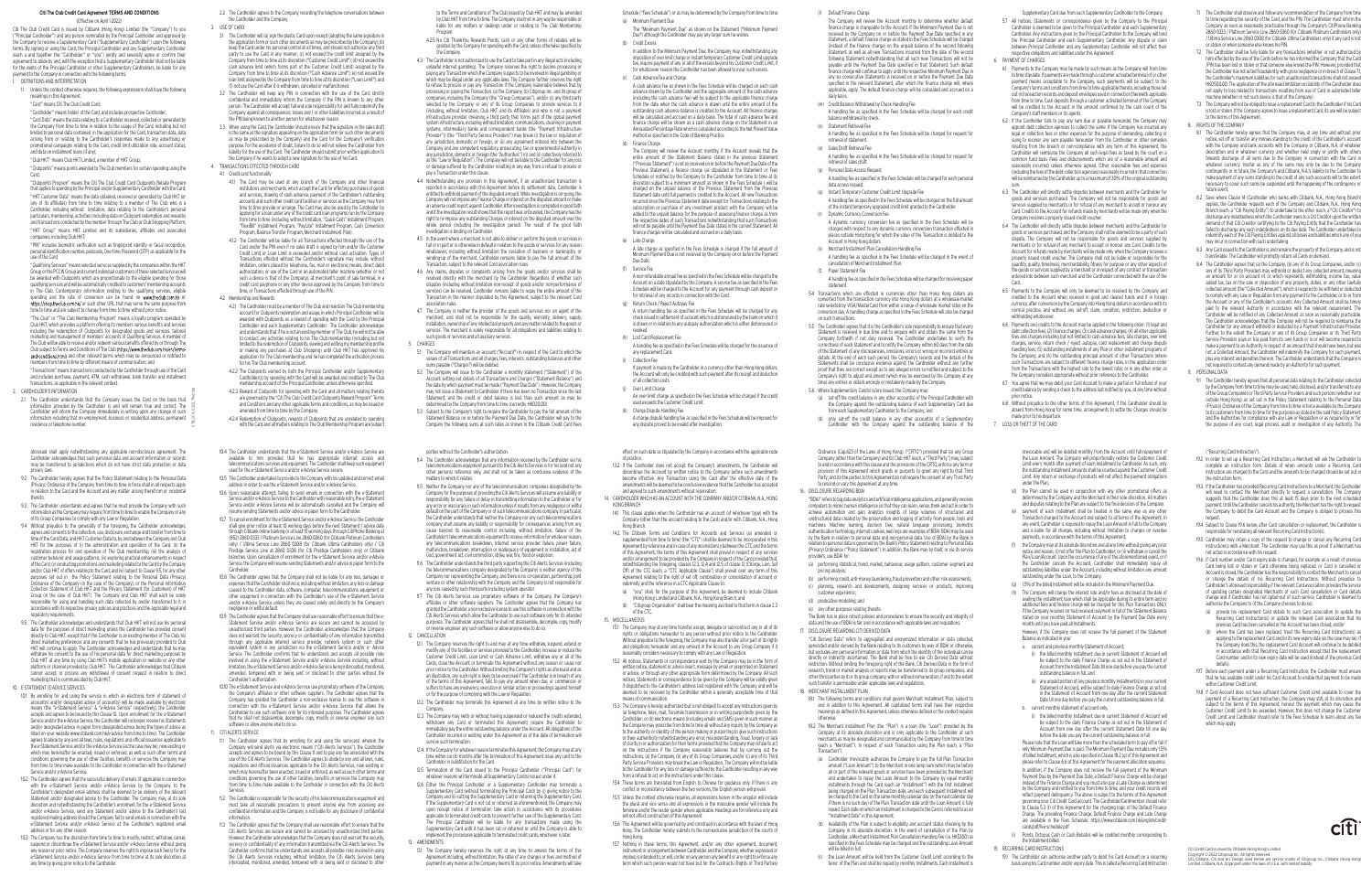(l) Default Finance Charge

 The Company will review the Account monthly to determine whether default finance charge is chargeable to the Account. If the Minimum Payment Due is not received by the Company on or before the Payment Due Date specified in any Statement, a default finance charge as stated in the Fees Schedule will be charged (instead of the finance charge) on the unpaid balance of the second following Statement as well as all new Transactions incurred from the date of the second following Statement notwithstanding that all such new Transactions will not be payable until the Payment Due Date specified in that Statement. Such default finance charge will continue to apply until the respective Minimum Payment Due in any six consecutive Statements is received on or before the Payment Due Date specified in the relevant Statement, after which the finance charge will, where applicable, apply. The default finance charge will be calculated and accrued on a daily basis.

(m) Credit Balance Withdrawal by Check Handling Fee

 A handling fee as specified in the Fees Schedule will be charged for each credit balance withdrawal by check. (n) Statement Retrieval Fee

- A handling fee as specified in the Fees Schedule will be charged for request for retrieval of statement.
- (o) Sales Draft Retrieval Fee
- A handling fee as specified in the Fees Schedule will be charged for request for retrieval of sales draft. (p) Personal Data Access Request
- A handling fee as specified in the Fees Schedule will be charged for each personal data access request.
- (q) Instant Temporary Customer Credit Limit Upgrade Fee
- A handling fee as specified in the Fees Schedule will be charged on the full amount of the instant temporary upgraded credit limit granted to the Cardholder. (r) Dynamic Currency Conversion Fee
- A dynamic currency conversion fee as specified in the Fees Schedule will be charged with respect to any dynamic currency conversion transaction effected in places outside Hong Kong for which the value of the Transaction is debited to the Account in Hong Kong dollars.
- (s) Merchant Installment Plan Cancellation Handling Fee
- A handling fee as specified in the Fees Schedule will be charged in the event of cancellation of Merchant Installment Plan. (t) Paper Statement Fee
- A handling fee as specified in the Fees Schedule will be charged for receiving paper statement.
- 5.4 Transactions which are effected in currencies other than Hong Kong dollars are converted from the transaction currency into Hong Kong dollars at a wholesale market rate selected by VISA/MasterCard from within a range of wholesale market rates on the conversion day. A handling charge as specified in the Fees Schedule will also be charged on such transactions.
- 5.5 The Cardholder agrees that it is the Cardholder's sole responsibility to ensure that every Statement is received in due time and to enquire with and obtain the same from the Company forthwith if not duly received. The Cardholder undertakes to verify the correctness of each Statement and to notify the Company within 60 days from the date of the Statement of any discrepancies, omissions, errors or wrong or incorrect entries or details. At the end of each such period, the Company's records and the details of the Statements shall be conclusive evidence against the Cardholder without any further proof that they are correct except as to any alleged errors so notified and subject to the Company's right to adjust and amend (which may be exercised by the Company at any time) any entries or details wrongly or mistakenly made by the Company.
- 5.6 Where Supplementary Card(s) is/are issued, the Company may:
	- (a) set-off the credit balance in any other account(s) of the Principal Cardholder with the Company against the outstanding balance of each Supplementary Card due from each Supplementary Cardholder to the Company; and
- (b) only set-off the credit balance in any other account(s) of a Supplementary Cardholder with the Company against the outstanding balance of the

# **Citi The Club Credit Card Agreement TERMS AND CONDITIONS**

(Effective on April 1 2022)

Citi The Club Credit Card is issued by Citibank (Hong Kong) Limited (the "Company") to you ("Principal Cardholder") and any person nominated by the Principal Cardholder and approved by the Company to receive a Supplementary Card ("Supplementary Cardholder") upon the following terms. By signing or using the Card, the Principal Cardholder and any Supplementary Cardholder (each a and together the "Cardholder" or "you") jointly and severally agree or confirm the agreement to abide by and, with the exception that a Supplementary Cardholder shall not be liable for the debts of the Principal Cardholder or other Supplementary Cardholders, be liable for any payment to the Company in connection with the following terms:

1. DEFINITIONS AND INTERPRETATION

- 1.1 Unless the context otherwise requires, the following expressions shall have the following meanings in this Agreement:
- "Card" means Citi The Club Credit Card;

"Cardholder" means holder of the Card, and includes prospective Cardholder

 "Card Data" means the data relating to a Cardholder received, collected or generated by the Company from time to time in relation to the usage of the Card, including but not limited to personal data contained in the application for the Card, transaction data, data arising from or relating to the Cardholder's responses made to any advertising or promotional campaigns relating to the Card, credit limit utilization rate, account status, and data on installment loans (if any);

 "Club HKT" means Club HKT Limited, a member of HKT Group; "Clubpoints" means points awarded to The Club members for certain spending using the

Card; "Clubpoints Program" means the Citi The Club Credit Card Clubpoints Rebate Program

- 4.2.1 The Cardholder must be a member of The Club and maintain The Club membership account for Clubpoints redemption and usage, in which Principal Cardholder will be awarded with Clubpoints as a reward of spending with the Card by the Principal Cardholder and each Supplementary Cardholder. The Cardholder acknowledges and understands that if he is not an existing member of The Club, he will not be able to conduct any activities relating to his The Club membership (including but not limited to the redemption of Clubpoints, viewing and editing my membership profile or making any purchases at Club Shopping) until Club HKT has approved his application for The Club membership and he has completed the activation process for his The Club membership account.
- 4.2.2 The Clubpoints earned by both the Principal Cardholder and/or Supplementary Cardholder(s) by spending with the Card will be awarded and credited to The Club membership account of the Principal Cardholder, unless otherwise specified.
- 4.2.3 Reward of Clubpoints for spending with the Card and all matters relating thereto are governed by the "Citi The Club Credit Card Clubpoints Reward Program" Terms and Conditions and any other applicable terms and conditions, as may be issued or amended from time to time by the Company.
- 4.2.4 Redemption of Clubpoints, rewards of Clubpoints that are unrelated to spending with the Card and all matters relating to The Club Membership Program are subject
- 10.4 The Cardholder understands that the e-Statement Service and/or e-Advice Service are available to him provided that he has appropriate internet access and telecommunications services and equipment. The Cardholder shall keep such equipment used for the e-Statement Service and/or e-Advice Service secure.
- 10.5 The Cardholder undertakes to provide to the Company with his updated and correct email address in order to use the e-Statement Service and/or e-Advice Service.
- 10.6 Upon reasonable attempt, failing to send emails in connection with the e-Statement vice and/or e-Advice Service to the Cardholder with reasonable retry, the e-Statemen Service and/or e-Advice Service will be automatically cancelled and the Company wi resume sending Statements and/or advice in paper form to the Cardholder.
- 10.7 To cancel enrollment for the e-Statement Service and/or e-Advice Service, the Cardholder shall give prior notice at least 10 working days before the next Statement / advice date through Citibank online banking or at least 15 working days through CitiPhone Banking at (852) 2860 0333 / Platinum Service Line 2860 0360 (for Citibank Platinum Cardholder only) / Ultima Service Line 2860 0308 (for Citibank Ultima Cardholders only) / Citi Prestige Service Line at 2860 0338 (for Citi Prestige Cardholders only) or Citibank branches. Upon cancellation of enrollment for the e-Statement Service and/or e-Advice Service, the Company will resume sending Statements and/or advice in paper form to the Cardholder.
- 10.8 The Cardholder agrees that the Company shall not be liable for any loss, damages or expenses that the Cardholder shall incur, including without limitation, any loss or damage caused to the Cardholder data, software, computer, telecommunications equipment or other equipment in connection with the Cardholder's use of the e-Statement Service and/or e-Advice Service unless they are caused solely and directly by the Company's negligence or willful default.
- 10.9 The Cardholder agrees that the Company shall use reasonable effort to ensure that the e-Statement Service and/or e-Advice Service are secure and cannot be accessed by unauthorized third parties. However, the Cardholder acknowledges that the Company does not warrant the security, secrecy or confidentiality of any information transmitted through any applicable internet service provider, network system or such other equivalent system in any jurisdiction via the e-Statement Service and/or e- Advice Service. The Cardholder confirms that he understands and accepts all possible risks involved in using the e-Statement Service and/or e-Advice Service including, withou limitation, the e-Statement Service and/or e-Advice Service being intercepted, monitored, amended, tempered with or being sent or disclosed to other parties without the Cardholder's authorization.
- 10.10 The e-Statement Service and e-Advice Service use proprietary software of the Company, the Company's affiliates or other software suppliers. The Cardholder agrees that the Company has granted the Cardholder a non-exclusive license to use this software in connection with the e-Statement Service and/or e-Advice Service that allows the Cardholder to use such software only for its intended purposes. The Cardholder agrees that he shall not disassemble, decompile, copy, modify or reverse engineer any such software or allow anyone else to do so.
- 11. CITI ALERTS SERVICE
- 11.1 The Cardholder agrees that by enrolling for and using the service(s) wherein the Company will send alerts via electronic means ("Citi Alerts Services"), the Cardholder accepts and agrees to be bound by this Clause 11 and to pay any fee associated with the use of the Citi Alerts Services. The Cardholder agrees to abide by any and all laws, rules, regulations and official issuances applicable to the Citi Alerts Services, now existing or which may hereinafter been enacted, issued or enforced, as well as such other terms and conditions governing the use of other facilities, benefits or services the Company may from time to time make available to the Cardholder in connection with the Citi Alerts Services.
- 11.2 The Cardholder is responsible for the security of his telecommunications equipment and must take all reasonable precautions to prevent anyone else from accessing any confidential information and the Company is not liable for any disclosure of confidential information.
- 11.3 The Cardholder agrees that the Company shall use reasonable effort to ensure that the Citi Alerts Services are secure and cannot be accessed by unauthorized third parties. However, the Cardholder acknowledges that the Company does not warrant the security, secrecy or confidentiality of any information transmitted via the Citi Alerts Services. The Cardholder confirms that he understands and accepts all possible risks involved in using the Citi Alerts Services including, without limitation, the Citi Alerts Services being intercepted, monitored, amended, tempered with or being sent or disclosed to othe

that applies to spending by the Principal and/or Supplementary Cardholder with the Card; "HKT Customer Data" means the data obtained, received or generated by Club HKT (or any of its affiliates) from time to time relating to a member of The Club who is a Cardholder, including without limitation, data relating to the Cardholder's personal particulars, membership, activities (including data on Clubpoint redemption and rewards) and transactions conducted by the member through The Club or Club Shopping Platform; "HKT Group" means HKT Limited and its subsidiaries, affiliates and associated

companies, including Club HKT; "PIN" includes biometric verification such as fingerprint identity or facial recognition, personal identification number, passcode, One-time Password (OTP) as applicable for the use of the Card;

 "Qualifying Services" means selected services supplied by the companies within the HKT Group or the PCCW Group and current individual customers of these selected services will be awarded with Clubpoints which are proportionate to the eligible spending for those qualifying services and will be automatically credited to customers' membership accoun in The Club. Contemporary information relating to the qualifying services, eligible spending and the rate of conversion can be found on www.fheclub.com.hk or https://shop.theclub.com.hk/ or such other URL that may serve the same purpose from time to time and are subject to change from time to time without prior notice;

 "The Club" or "The Club Membership Program" means a loyalty program operated by Club HKT, which provides a platform offering its members various benefits and services including the redemption of Clubpoints for designated goods and services, tailored marketing and management of members' accounts of Qualifying Services. A member of The Club will be able to receive and/or redeem various benefits offered by or through The Club subject to Terms and Conditions of The Club (https://www.theclub.com.hk/en/term and conditions.html) and other relevant terms which may be announced or notified to members from time to time by different means of communication; and

 "Transactions" means transactions conducted by the Cardholder through use of the Card and includes purchase, payment, ATM, cash withdrawal, bank transfer and installment transactions, as applicable in the relevant context.

#### 2. CARDHOLDER'S INFORMATION

- 2.2 The Cardholder agrees to the Company recording the telephone conversations between the Cardholder and the Company.
- 3. USE OF CARD
- 3.1 The Cardholder will (a) sign the plastic Card upon receipt (adopting the same signature in the application form or such other documents as may be prescribed by the Company); (b) keep the Card under his personal control at all times, and should not authorize any third party to use the Card in any manner; (c) not exceed the credit limit assigned by the Company from time to time at its discretion ("Customer Credit Limit"); (d) not exceed the cash advance limit (which forms part of the Customer Credit Limit) assigned by the Company from time to time at its discretion ("Cash Advance Limit"); (e) not exceed the loan limit assigned by the Company from time to time at its discretion ("Loan Limit"); and (f) not use the Card after it is withdrawn, cancelled or malfunctioned.
- 3.2 The Cardholder will keep any PIN in connection with the use of the Card strictly confidential and immediately inform the Company if the PIN is known to any other person. The Cardholder will accept full and sole responsibility for and fully indemnify the Company against all consequences, losses and / or other liabilities incurred as a result of the PIN being known to another person for whatsoever reason
- 3.3 When using the Card, the Cardholder should ensure that the signature in the sales draft is the same as the signature appearing on the application form (or such other documents as may be prescribed by the Company) and the Card for the Company's verification purpose. For the avoidance of doubt, failure to do so will not relieve the Cardholder from liability for the use of the Card. The Cardholder should submit prior written application to the Company if he wants to adopt a new signature for the use of his Card.
- 4. TRANSACTIONS EFFECTED THROUGH CARD 4.1 Credit card functionality
	- 4.1.1 The Card may be used at any branch of the Company and other financial institutions and merchants, which accept the Card for effecting purchases of goods and services, drawing of cash advance, payment of the Cardholder's outstanding accounts and such other credit card facilities or services as the Company may from time to time provide or arrange. The Card may also be used by the Cardholder by applying for a loan under any of the credit card loan programs run by the Company from time to time (including, without limitation, "Quick Cash" Installment Program, "FlexiBill" Installment Program, "PayLite" Installment Program, Cash Conversion Program, Balance Transfer Program, Merchant Installment Plan).
	- 4.1.2 The Cardholder will be liable for all Transactions effected through the use of the Card and/or the PIN even if no sales draft is signed by him and/or the Custome Credit Limit or Loan Limit is exceeded and/or without card activation. Types of Transactions effected without the Cardholder's signature may include, without limitation, orders placed by telephone, fax, mail or electronic means, direct debit authorization, or use of the Card in an automated teller machine (whether or not such a device is that of the Company), at merchant's point of sale terminal, in a credit card payphone or any other device approved by the Company from time to time, or Transactions effected through use of the PIN.

If payment is made by the Cardholder in a currency other than Hong Kong dollars the Account will only be credited with such payment after its receipt and deduction

(k) Charge Dispute Handling Fee A charge dispute handling fee as specified in the Fees Schedule will be imposed for any dispute proved to be invalid after investigation.

#### 4.2 Membership and Rewards

to the Terms and Conditions of The Club issued by Club HKT and may be amended by Club HKT from time to time. The Company shall not in any way be responsible or liable for any matters or dealings under or relating to The Club Membership Program.

- 4.2.5 No Citi ThankYou Rewards Points, cash or any other forms of rebates will be granted by the Company for spending with the Card, unless otherwise specified by the Company.
- 4.3 The Cardholder is not authorized to use the Card to take part in any illegal acts (including unlawful internet gambling). The Company reserves the right to decline processing or paying any Transaction which the Company suspects to be involved in illegal gambling or which may be illegal under any applicable laws. The Company further reserves the right to refuse to process or pay any Transaction if the Company reasonably believes that by processing or paying the Transaction, (a) the Company, (b) Citigroup Inc. and its group of companies, including the Company (the "Group Companies"), and/or (c) any third party selected by the Company or any of its Group Companies to provide services to it (including, without limitation, Club HKT and its Affiliates) and who is not a payment infrastructure provider (meaning a third party that forms part of the global paymer system infrastructure, including without limitation, communications, clearing or paymer systems, intermediary banks and correspondent banks (the "Payment Infrastructure Provider")) (the "Third Party Service Providers") may break (i) the law or regulation of any jurisdiction, domestic or foreign, or (ii) any agreement entered into between the Company and any competent regulatory, prosecuting, tax or governmental authority in any jurisdiction, domestic or foreign (the "Authorities") ((i) and (ii) collectively referred to as the "Law or Regulation"). The Company will not be liable to the Cardholder for any loss or damage suffered by the Cardholder resulting in any way from a refusal to process or pay a Transaction under this clause.
- 4.4 Notwithstanding any provision in this Agreement, if an unauthorized transaction is reported in accordance with this Agreement before its settlement date, Cardholder is entitled to withhold payment of the disputed amount. While investigation is on-going, the Company will not impose any Finance Charge or interest on the disputed amount or make an adverse credit report against Cardholder. After investigation is completed in good faith and if the investigation result shows that the report was unfounded, the Company has the right to re-impose any outstanding Charges or interest on the disputed amount over the whole period (including the investigation period). The result of the good faith investigation is binding on Cardholder.
- 4.5 In the event where a merchant is not able to deliver or perform the goods or services in full or in part or is otherwise in default in relation to the goods or services for any reason whatsoever, including without limitation the cessation of business or bankruptcy or winding-up of the merchant, Cardholder remains liable to pay the full amount of the Transaction, subject to the relevant Card association rules.
- 4.6 Any claims, disputes or complaints arising from the goods and/or services shall be resolved directly with the merchant by the Cardholder. Regardless of whether such disputes (including without limitation non-receipt of goods and/or non-performance o services) can be resolved, Cardholder remains liable to repay the entire amount of the Transaction in the manner stipulated by this Agreement, subject to the relevant Card association rules.
- 4.7 The Company is neither the provider of the goods and services nor an agent of the merchant, and shall not be responsible for the quality, warranty, delivery, supply, installation, ownership of any intellectual property and any matter related to the goods or services. The merchant is solely responsible for all obligations and liabilities relating to such goods or services and all auxiliary services. 5. CHARGES
- 5.1 The Company will maintain an account ("Account") in respect of the Card to which the values of all Transactions and all charges, fees, interests, outstanding balances and other sums payable ("Charges") will be debited.
- 5.2 The Company will issue to the Cardholder a monthly statement ("Statement") of the Account setting out details of all Transactions and Charges ("Statement Balance") and the date by which payment must be made ("Payment Due Date"). However, the Company may not issue a Statement to Cardholder if there has been no Transaction since the last Statement, and the credit or debit balance is less than such amount as may be determined by the Company from time to time (currently HKD20.00).
- 5.3 Subject to the Company's right to require the Cardholder to pay the full amount of the Statement Balance on or before the Payment Due Date, the Cardholder will pay to the Company the following sums at such rates as shown in the Citibank Credit Card Fees

Schedule ("Fees Schedule") or as may be determined by the Company from time to time:

 The "Minimum Payment Due" as shown on the Statement ("Minimum Payment Due") although the Cardholder may pay any larger sum he wishes.

 In addition to the Minimum Payment Due, the Company may, notwithstanding any imposition of over limit charge or instant temporary Customer Credit Limit upgrade fee, require payment of any or all of the excess beyond his Customer Credit Limit, if for whatsoever reason the Cardholder has been allowed to incur such excess.

- (a) Minimum Payment Due
- (b) Credit Excess
- (c) Cash Advance Fee and Charge (d) Finance Charge

 A cash advance fee as shown in the Fees Schedule will be charged on each cash advance drawn by the Cardholder and the aggregate amount of the cash advance (including the cash advance fee) will be subject to the applicable finance charge from the date when the cash advance is drawn until the entire amount of the outstanding cash advance balance is credited to the Account. All finance charges will be calculated and accrued on a daily basis. The total of cash advance fee and finance charge will be shown as a cash advance charge on the Statement in an Annualized Percentage Rate which is calculated according to the Net Present Value method as specified in the Code of Banking Practice.

 The Company will review the Account monthly, if the Account reveals that the entire amount of the Statement Balance stated in the previous Statement ("Previous Statement") is not so received on or before the Payment Due Date of the Previous Statement, a finance charge (as stipulated in the Statement or Fee Schedule or notified by the Company to the Cardholder from time to time at it discretion subject to a minimum amount as shown in the Fees Schedule ) will be charged on the unpaid balance of the Previous Statement from the Previous Statement date until full payment is credited to the Account. All new Transactions incurred since the Previous Statement date (except for Transactions relating to the subscription or purchase of any investment product with the Company) will be added to the unpaid balance for the purpose of assessing finance charge as from the respective dates of such Transactions notwithstanding that such Transactions will not be payable until the Payment Due Date stated in the current Statement. All finance charges will be calculated and accrued on a daily basis.

 A late charge as specified in the Fees Schedule is charged if the full amount of Minimum Payment Due is not received by the Company on or before the Payment

- (e) Late Charge Due Date.
- (f) Service Fee (g) Return Check / Reject Autopay Fee

 A non-refundable annual fee as specified in the Fees Schedule will be charged to the Account on a date stipulated by the Company. A service fee as specified in the Fees Schedule will be charged to the Account for any payment through cash deposit or for retrieval of any records in connection with the Card.

 A return handling fee as specified in the Fees Schedule will be charged for any check issued in settlement of account which is dishonoured by the bank on which it is drawn or in relation to any autopay authorization which is either dishonoured or

revoked.

 (h) Lost Card Replacement Fee A handling fee as specified in the Fees Schedule will be charged for the issuance of any replacement Card. (i) Collection Fee

- of all collection costs (j) Over Limit Charge
- 

 An over limit charge as specified in the Fees Schedule will be charged if the credit used exceeds the Customer Credit Limit.

2.1 The Cardholder understands that the Company issues the Card on the basis that information provided by the Cardholder is and will remain true and correct. The Cardholder will inform the Company immediately in writing upon any change of such information including that on employment, business or residential address, permanent residence or telephone number. CTB\_CCA\_0322\_TheClub

- Supplementary Card due from such Supplementary Cardholder to the Company. 5.7 All notices, Statements or correspondence given by the Company to the Principal Cardholder is deemed to be given to the Principal Cardholder and each Supplementary Cardholder. Any instructions given by the Principal Cardholder to the Company will bind the Principal Cardholder and each Supplementary Cardholder. Any dispute or claim between Principal Cardholder and any Supplementary Cardholder will not affect their respective obligations and liabilities under this Agreement.
- 6. PAYMENT OF CHARGES
- 6.1 Payments to the Company may be made by such means as the Company will from time to time stipulate. If payments are made through a customer activated terminal of or other payment means acceptable to the Company, such payments will be subject to the Company's terms and conditions from time to time applicable thereto, including those set out in transaction records and deposit envelopes used in connection therewith applicable from time to time. Cash deposits through a customer activated terminal of the Company will be credited to the Account in the amount confirmed by the cash count of the Company's staff members or its agents.
- 6.2 If the Cardholder fails to pay any sum due or payable hereunder, the Company may appoint debt collection agencies to collect the same. If the Company has incurred any legal or collection fees or other expenses for the purpose of demanding, collecting or suing to recover any sum payable hereunder from the Cardholder or other remedies resulting from the breach or non-compliance with any term of this Agreement, the Cardholder will reimburse the Company all such legal fees as taxed by the court on a common fund basis (fees and disbursements which are of a reasonable amount and reasonably incurred) unless otherwise agreed. Other reasonable fees and expenses (including the fees of the debt collection agencies) reasonably incurred in that connection will be reimbursed by the Cardholder up to a maximum of 30% of the original outstanding sum.
- 6.3 The Cardholder will directly settle disputes between merchants and the Cardholder for goods and services purchased. The Company will not be responsible for goods and services supplied by merchants or for refusal of any merchant to accept or honour any Card. Credits to the Account for refunds made by merchants will be made only when the Company receives a properly issued credit voucher.
- 6.4 The Cardholder will directly settle disputes between merchants and the Cardholder for goods or services purchased, and the Company shall not be deemed to be a party of such dispute. The Company will not be responsible for goods and services supplied by merchants or for refusal of any merchant to accept or honour any Card. Credits to the Account for refunds made by merchants will be made only when the Company receives a properly issued credit voucher. The Company shall not be liable or responsible for the quantity, quality, timeliness, merchantability, fitness for purpose or any other aspects of the goods or services supplied by a merchant or in respect of any contract or transaction entered into between such merchant and the Cardholder connected with the use of the Card.
- 6.5 Payments to the Company will only be deemed to be received by the Company and credited to the Account when received in good and cleared funds and if in foreign currency, after conversion by the Company into Hong Kong dollars in accordance with its normal practice, and without any set-off, claim, condition, restriction, deduction or withholding whatsoever.
- 6.6 Payments and credits to the Account may be applied in the following order: (1) legal and debt collection fees; (2) finance charges; (3) cash advance charges; (4) all other applicable fees and charges including but not limited to cash advance fees, late charges, over limit charges, service, return check / reject autopay, card replacement and charge dispute handling fees; (5) outstanding installments of any Plan or other installment programs of the Company; and (6) the outstanding principal amount of other Transactions (where such Transactions are subject to different finance charge rates, in the application order from the Transactions with the highest rate to the lowest rate); or in any other order as the Company considers appropriate without prior reference to the Cardholder.
- 6.7 You agree that we may debit your Card Account to make a partial or full refund of your credit balance by sending a check to the address last notified by you, at any time without prior notice.
- 6.8 Without prejudice to the other terms of this Agreement, if the Cardholder should be absent from Hong Kong for some time, arrangements to settle the Charges should be made prior to his departure.

15.2 All notices. Statements or correspondence sent by the Company may be in the form of written notice, statement or advice insert, message by email or preprinted on Statement or advice, or through any other appropriate form determined by the Company. All such notices, Statements or correspondence to be given by the Company will be validly given if dispatched to the Cardholder's address last registered with the Company and will be deemed to be received by the Cardholder within a generally acceptable time of that 7. LOSS OR THEFT OF THE CARD

 "Citi Derived Data" refers to aggregated and anonymized information or data collected, generated and/or derived by the Bank relating to its customers by way of BDAI or otherwise, but excludes any personal information or data from which the identity of the individual can be directly or indirectly ascertained. The Bank shall be free to use Citi Derived Data without striction. Without limiting the foregoing right of the Bank, Citi Derived Data in the form o research, trend or market analysis or reports may be transferred to its group companies, and other third parties by it or its group company, with or without remuneration, if and to the extent such transfer is permissible under applicable laws and requlations.

- 7.1 The Cardholder shall observe and follow any recommendation of the Company from time to time regarding the security of the Card, and the PIN. The Cardholder must inform the Company as soon as reasonably practicable through the Company's CitiPhone Banking 2860 0333 / Platinum Service Line 2860 0360 (for Citibank Platinum Cardholders only) / Ultima Service Line 2860 0308 (for Citibank Ultima Cardholders only) if any card is lost or stolen or when someone else knows his PIN.
- 7.2 The Cardholder shall be fully liable for any transactions (whether or not authorized by him) effected by the use of the Cards before he has informed the Company that the Card /PIN has been lost or stolen or that someone else knows the PIN. However, provided that the Cardholder has not acted fraudulently, with gross negligence or in breach of Clause 7.1, the Cardholder's maximum liabilities for such unauthorized transactions shall not exceed HKD500.00. The application of the aforesaid limitation on liability of the Cardholder does not apply to loss related to transactions resulting from use of Card in automated teller machine (whether or not such device is that of the Company).
- 7.3 The Company will not be obliged to issue a replacement Card to the Cardholder if his Card is lost or stolen. If the Company agrees to issue a replacement Card, its use will be subject to the terms of this Agreement. 8. RIGHTS OF THE COMPANY
- 8.1 The Cardholder hereby agrees that the Company may, at any time and without prior notice, set off or transfer any monies standing to the credit of the Cardholder's account with the Company and bank accounts with the Company or Citibank, N.A. of whatever description and in whatever currency and whether held singly or jointly with other towards discharge of all sums due to the Company in connection with the Card in whatever currency. Insofar as any of the sums may only be due to the Company contingently or in future, the Company's and Citibank, N.A.'s liability to the Cardholder to make payment of any sums standing to the credit of any such accounts will to the extent necessary to cover such sums be suspended until the happening of the contingency or future event.
- 8.2 Save where Clause 14 (Cardholder who banks with Citibank, N.A., Hong Kong Branch) applies, the Cardholder requests each of the Company and Citibank, N.A., Hong Kong Branch (each, a "Citi Paying Entity") to undertake to the other (each, a "Citi Creditor") to discharge any indebtedness which the Cardholder owes to a Citi Creditor upon the written demand of that Citi Creditor certifying to the Citi Paying Entity that the Cardholder has failed to discharge any such indebtedness on its due date. The Cardholder undertakes to indemnify each of the Citi Paying Entities against all losses and liabilities which any of you may incur in connection with such undertaking.
- 8.3 Any Card issued to the Cardholder is and remains the property of the Company, and is not transferable. The Cardholder will promptly return all Cards on demand.
- 8.4 The Cardholder agrees that (a) the Company, (b) any of its Group Companies, and/or (c) any of its Third Party Providers may withhold or deduct any collected amount, meaning an amount for or on account of, or which represents, withholding, income tax, value added tax, tax on the sale or disposition of any property, duties, or any other lawfully collected amount (the "Collected Amount"), which is required to be withheld or deducted to comply with any Law or Regulation from any payment to the Cardholder, or to or from the Account or any of the Cardholder's accounts. Any Collected Amount shall be timely paid to the relevant Authority in accordance with the relevant requirement. The Cardholder will be notified of any Collected Amount as soon as reasonably practicable. The Cardholder acknowledges that the Company will not be required to reimburse the Cardholder for any amount withheld or deducted by a Payment Infrastructure Provide Further, to the extent the Company or any of its Group Companies or its Third Party Service Providers pays or has paid from its own funds or is or will become required to make a payment to an Authority in respect of an amount that should have been, but was not, a Collected Amount, the Cardholder will indemnify the Company for such payment, plus any interest and penalties thereon. The Cardholder understands that the Company is not required to contest any demand made by an Authority for such payment.
- 9. PERSONAL DATA

 9.1 The Cardholder hereby agrees that all personal data relating to the Cardholder collected by the Company from time to time may be used, held, disclosed, and/or transferred to any of the Group Companies or Third Party Service Providers and such persons (whether in or outside Hong Kong) as set out in the Policy Statement relating to the Personal Data (Privacy) Ordinance of the Company from time to time in force available by the Company to its customers from time to time for the purposes as stated in the said Policy Statement and the Authorities for compliance with any Law or Regulation or as required by or for the purpose of any court, legal process, audit or investigation of any Authority. The

aforesaid shall apply notwithstanding any applicable non-disclosure agreement. The Cardholder acknowledges that such personal data and account information or records may be transferred to jurisdictions which do not have strict data protection or data privacy laws.

- 9.2 The Cardholder hereby agrees that the Policy Statement relating to the Personal Data (Privacy) Ordinance of the Company from time to time in force shall in all respects apply in relation to the Card and the Account and any matter arising therefrom or incidental thereto.
- 9.3 The Cardholder understands and agrees that he must provide the Company with such information as the Company may require from time to time to enable the Company or any of its Group Companies to comply with any Law or Regulation.
- 9.4 Without prejudice to the generality of the foregoing, the Cardholder acknowledges agrees and consents to the collection, use, disclosure, exchange and transfer from time to time of the Card Data, and HKT Customer Data to, by and between the Company and Club HKT for the purposes of (i) the administration and operation of the Card, (ii) the registration process for and operation of The Club membership, (iii) the analysis of customer behavior and usage patterns; (iv) exploring practical enhancements in respect of the Card; (v) conducting promotions and marketing related to the Card by the Company and/or Club HKT of offers relating to the Card; and (vi) subject to Clause 9.5, for any other purposes set out in the Policy Statement relating to the Personal Data (Privacy) Ordinance of the Company (in the case of the Company), or the Personal Information Collection Statement of Club HKT and the Privacy Statement (for Customers) of HKT Group (in the case of Club HKT). The Company and Club HKT shall each be solel responsible for using and handling such data collected by and/or transferred to it in accordance with its respective privacy policies and practices and the applicable legal and regulatory requirements.
- 9.5 The Cardholder acknowledges and understands that Club HKT will not use his personal data for the purposes of direct marketing unless the Cardholder has provided conser directly to Club HKT, except that if the Cardholder is an existing member of The Club, his direct marketing preferences and any consents that he has previously provided to Club HKT will continue to apply. The Cardholder acknowledges and understands that he may withdraw his consent to the use of his personal data for direct marketing purposes by Club HKT at any time by using Club HKT's mobile application or website or any other platform or channel provided by Club HKT. The Cardholder acknowledges that Citibank cannot accept or process any withdrawal of consent request in relation to direct marketing that is communicated by Club HKT.

### 10. E-STATEMENT /E-ADVICE SERVICES

- 10.1 By enrolling for and using the service in which an electronic form of statement of account(s) and/or designated advice of account(s) will be made available by electronic means (the "e-Statement Service" & "e-Advice Service" respectively), the Cardholder accepts and agrees to be bound by this Clause 10. Upon enrollment for the e-Statement Service and/or the e-Advice Service, the Cardholder will no longer receive his Statements and/or designated advice in paper form (designated advice being the types of advice as listed on your website www.citibank.com.hk/e-advice from time to time). The Cardholder agrees to abide by any and all laws, rules, regulations and official issuances applicable to the e-Statement Service and/or the e-Advice Service (as the case may be), now existing c which may hereinafter be enacted, issued or enforced, as well as such other terms and conditions governing the use of other facilities, benefits or services the Company may from time to time make available to the Cardholder in connection with the e-Statement Service and/or e-Advice Service.
- 10.2 The Cardholder agrees that the successful delivery of emails (if applicable) in connection with the e-Statement Service and/or e-Advice Service by the Company to the Cardholder's designated email address shall be deemed to be delivery of the relevant Statement and/or designated advice to the Cardholder. The Company may, at its sole discretion and notwithstanding the Cardholder's enrolment for the e-Statement Service and/or e-Advice Service, send any Statement and/or advice to the Cardholder's last registered mailing address should the Company fail to send emails in connection with the e-Statement Service and/or e-Advice Service at the Cardholder's registered email address or for any other reason.
- 10.3 The Company has the discretion from time to time to modify, restrict, withdraw, cancel, suspend or discontinue the e-Statement Service and/or e-Advice Service without giving any reason or prior notice. The Company reserves the right to impose such fee(s) for the e-Statement Service and/or e-Advice Service from time to time at its sole discretion at any time by giving prior notice to the Cardholder.

parties without the Cardholder's authorization.

- 11.4 The Cardholder acknowledges that any information received by the Cardholder via his telecommunications equipment pursuant to the Citi Alerts Services is for his (and not any other persons) reference only, and shall not be taken as conclusive evidence of the matters to which it relates.
- 11.5 Neither the Company nor any of the telecommunications companies designated by the Company for the purposes of providing the Citi Alerts Services will assume any liability or responsibility for any failure or delay in transmitting information to the Cardholder or for any error or inaccuracy in such information unless it results from any negligence or willful default on the part of the Company or of such telecommunications company. In particular, the Cardholder understands that neither the Company nor any such telecommunications company shall assume any liability or responsibility for consequences arising from any cause beyond its reasonable control including, without limitation, failure of the Cardholder's telecommunications equipment to receive information for whatever reason, any telecommunications breakdown, Internet service provider failure, power failure malfunction, breakdown, interruption or inadequacy of equipment or installation, act of God, government act, civil commotion, strike, war, fire, flood or explosion.
- 11.6 The Cardholder understands the third party supporting the Citi Alerts Services (including the telecommunications company designated by the Company) is neither agency of the Company nor representing the Company, and there is no co-operation, partnership, joint venture or other relationship with the Company and the Company is not responsible for any loss caused by such third party including system operator.
- 11.7 The Citi Alerts Services use proprietary software of the Company, the Company's affiliates or other software suppliers. The Cardholder agrees that the Company has granted the Cardholder a non-exclusive license to use this software in connection with the Citi Alerts Services which allow the Cardholder to use such software only for its intended purposes. The Cardholder agrees that he shall not disassemble, decompile, copy, modify or reverse engineer any such software or allow anyone else to do so.
- 12. CANCELLATION
- 12.1 The Company reserves the right to and may at any time withdraw, suspend, extend or modify any of the facilities or services provided to the Cardholder, increase or reduce the Customer Credit Limit, Loan Limit or Cash Advance Limit, withdraw any or all of the Cards, close the Account or terminate this Agreement without any reason or cause nor prior notice to the Cardholder. Without limiting the Company's rights as aforesaid and as an illustration, any such right is likely to be exercised if the Cardholder is in breach of any of the terms of this Agreement, fails to pay any amount when due, or commences or suffers to have any insolvency, execution or similar action or proceedings against himself or for the purpose of complying with the Law or Regulation.
- 12.2 The Cardholder may terminate this Agreement at any time by written notice to the Company.
- 12.3 The Company may (with or without having suspended or reduced the credits extended, withdrawn any Card or terminated this Agreement) require the Cardholder to immediately pay the entire outstanding balance under the Account. All obligations of the Cardholder incurred or existing under this Agreement as of the date of termination will survive such termination.
- 12.4 If the Company for whatever reason terminates this Agreement, the Company may at any time within six (6) months after the termination of this Agreement issue any card to the Cardholder in substitution for the Card.
- 12.5 Termination of the Card issued to the Principal Cardholder ("Principal Card") for
- whatever reasons will terminate all Supplementary Card(s) issued under it. 12.6 Either the Principal Cardholder or a Supplementary Cardholder may terminate a Supplementary Card (without terminating the Principal Card) by (i) giving notice to the Company and (ii) cutting the Supplementary Card or returning the Supplementary Card. If the Supplementary Card is not cut or returned as aforementioned, the Company may upon receipt notice of termination take action in accordance with its procedures applicable to terminated credit cards to prevent further use of the Supplementary Card. The Principal Cardholder will be liable for any transactions made using the Supplementary Card until it has been cut or returned or until the Company is able to implement the procedures applicable to terminated credit cards, whichever is later.

#### **AMENDMENTS**

 13.1 The Company hereby reserves the right at any time to amend the terms of this Agreement including, without limitation, the rates of any charges or fees and method of payment in any manner as the Company deems fit by prior notice. Amendments will take

Limited, Citibank, N.A. Organized under the laws of U.S.A. with limited liability.

effect on such date as stipulated by the Company in accordance with the applicable code

of practice.

 13.2 If the Cardholder does not accept the Company's amendments, the Cardholder will discontinue the Account by written notice to the Company before such amendment become effective. Any Transaction using the Card after the effective date of the amendments will be deemed to be conclusive evidence that the Cardholder has accepted

and agreed to such amendments without reservation. 14. CARDHOLDER WHO HAS AN ACCOUNT WITH THE COMPANY AND/OR CITIBANK, N.A., HONG

KONG BRANCH

 14.1 This clause applies when the Cardholder has an account (of whichever type) with the Company (other than the account relating to the Card) and/or with Citibank, N.A., Hong

Kong Branch. 14.2 The Citibank Terms and Conditions for Accounts and Services (as amended or supplemented from time to time) (the "CTC") shall be deemed to be incorporated in this Agreement by reference and in case of any inconsistency between the CTC and the terms of this Agreement, the terms of this Agreement shall prevail in respect of any services and/or arrangement to be provided by the Company in respect of the Card provided that notwithstanding the foregoing, clauses 12.3, 12.4 and 12.5 of clause 12 (Charge, Lien, Se Off) of the CTC (each, a "CTC Applicable Clause") shall prevail over any term of this Agreement relating to the right of set off, combination or consolidation of account or indemnity and the reference in a CTC Applicable Clause to:

 (a) "you" shall, for the purpose of this Agreement, be deemed to include Citibank (Hong Kong) Limited and Citibank, N.A., Hong Kong Branch; and

(b) "Citigroup Organisation" shall bear the meaning ascribed to that term in clause 2.3

of the CTC.

 15.1 The Company may at any time transfer, assign, delegate or sub-contract any or all of its rights or obligations hereunder to any person without prior notice to the Cardholder. Without prejudice to the foregoing, the Company may also transfer all or part of its rights and obligations hereunder and any amount in the Account to any Group Company if i reasonably considers necessary to comply with any Law or Regulation.

- 15. MISCELLANEOUS
- 
- means of communication.
- 
- 
- will not affect construction of this Agreement.
- Hong Kong.
	-

 15.3 The Company is hereby authorized (but is not obliged) to accept any instructions given by (a) telephone, telex, mail, facsimile transmission or in writing purportedly given by the Cardholder; or (b) electronic means (including emails and SMS) given in such manner as the Company may prescribe from time to time all without any inquiry by the Company as to the authority or identity of the person making or purporting to give such instructions or their authenticity notwithstanding any error, misunderstanding, fraud, forgery or lack of clarity in or authorization for their terms provided that the Company may refuse to act on the instructions if the Company reasonably believes that by carrying out the instructions, (a) the Company, (b) any of its Group Companies, and/or (c) any of its Third Party Service Providers may break the Law or Regulation. The Company will not be liable to the Cardholder for any loss or damage suffered by the Cardholder resulting in any way from a refusal to act on the instructions under this clause.

 15.4 These terms are translated from English to Chinese for guidance only. If there is any conflict or inconsistency between the two versions, the English version will prevail.

 15.5 Unless the context otherwise requires, all expressions herein in the singular will include the plural and vice versa and all expressions in the masculine gender will include the feminine and/or the neuter gender where applicable. Headings are for reference only and

 15.6 This Agreement will be governed by and construed in accordance with the laws of Hong Kong. The Cardholder hereby submits to the non-exclusive jurisdiction of the courts of

 15.7 Nothing in these terms, this Agreement, and/or any other agreement, document, instrument or arrangement between Cardholder and the Company, whether expressed or implied, is intended to, or will, confer on any person any benefit or any right to enforce any term which such person would not have but for the Contracts (Rights of Third Parties)

Ordinance (Cap.623 of the Laws of Hong Kong). ("CRTO") provided that (a) any Group Company (other than the Company) and (b) Club HKT (each, a "Third Party") may, subject to and in accordance with this clause and the provisions of the CRTO, enforce any term or provision of this Agreement which grants or purports to grant any right to that Third Party; and (b) the parties to this Agreement do not require the consent of any Third Party to rescind or vary this Agreement at any time.

16. DISCLOSURE REGARDING BDAI

 "BDAI" refers to big data analytics and artificial intelligence applications, and generally involves computers to mimic human intelligence so that they can learn, sense, think and act in order to achieve automation and gain analytics insights of large volumes of structured and unstructured data created by the preservation and logging of activity from people, tools and machines. Machine learning, decision tree, natural language processing, biometric authentication technology, internet cookies, web logs are examples of BDAI. BDAI may be used by the Bank in relation to personal data and non-personal data. Use of BDAI by the Bank in relation to personal data is governed by the Bank's Policy Statement relating to Personal Data (Privacy) Ordinance ("Policy Statement"). In addition, the Bank may by itself, or via its service providers, use BDAI for:

- (a) performing statistical, trend, market, behaviour, usage pattern, customer segment and pricing analysis;
- (b) performing credit, anti-money laundering, fraud prevention and other risk assessments; (c) planning, research and developments, designing services or products, improving customer experience;
- (d) predicative modelling; and
- (e) any other purposes relating thereto.
- The Bank has in place robust policies and procedures to ensure the security and integrity of data and the use of BDAI is fair and in accordance with applicable laws and regulations.
- 17. DISCLOSURE REGARDING CITI DERIVED DATA

- 18. MERCHANT INSTALLMENT PLAN
- 18.1 The following terms and conditions shall govern Merchant Installment Plan, subject to and in addition to this Agreement. All capitalized terms shall have their respective meanings as defined in this Agreement, unless otherwise defined or the context requires otherwise.
- 18.2 The Merchant Installment Plan (the "Plan") is a loan (the "Loan") provided by the Company at its absolute discretion and is only applicable to the Cardholder at such merchants as may be designated and communicated by the Company from time to time (each a "Merchant"). In respect of each Transaction using the Plan (each, a "Plan Transaction"):
- (a) Cardholder irrevocably authorizes the Company to pay the full Plan Transaction amount ("Loan Amount") to the Merchant in one lump sum (which may be before all or part of the relevant goods or services have been provided by the Merchant) and undertakes to repay the Loan Amount to the Company by equal monthly installments through the Card (each an "Installment") with the first Installment being charged on the Plan Transaction date, and each subsequent Installment will be charged to the Card on the same monthly calendar day (or the next calendar day if there is no such day) of the Plan Transaction date until the Loan Amount is fully repaid. Each date on which an Installment is charged to the Card is referred to as an "Installment Date" in this Agreement;
- (b) Availability of the Plan is subject to eligibility and account status checking by the Company in its absolute discretion. In the event of cancellation of the Plan by Cardholder, a Merchant Installment Plan Cancellation Handling Fee (i.e. HK\$300) as specified in the Fees Schedule may be charged and the outstanding Loan Amount will be billed in full;
- (c) the Loan Amount will be held from the Customer Credit Limit according to the tenor of the Plan and shall be repaid by monthly Installments. Each Installment is

irrevocable and will be debited monthly from the Account until full repayment of the Loan Amount. The Company will proportionally restore the Customer Credit Limit every month after payment of each Installment by Cardholder. As such, only the outstanding Installment amounts shall be counted against the Customer Credit Limit. Any return or exchange of products will not affect the payment obligations under the Plan;

- (d) the Plan cannot be used in conjunction with any other promotional offers as determined by the Company and the Merchant in their sole discretion. All matters and disputes relating to the Plan are subject to the final decision of the Company.
- (e) payment of each Installment shall be treated in the same way as any other Transaction charged to the Account and subject to all terms of the Agreement. In any event, Cardholder is required to repay the Loan Amount in full to the Company and is liable for all charges, including without limitation to charges on overdue payments, in accordance with the terms of this Agreement;
- (f) the Company may at its absolute discretion and at any time without giving any prior notice and reason, (i) not offer the Plan to Cardholder; or (ii) withdraw or cancel the Plan/Loan/Account. Upon the occurrence of any of the aforementioned event, or if the Cardholder cancels the Account, Cardholder shall immediately repay all outstanding liabilities under the Account, including without limitation any amount outstanding under the Loan, to the Company.
- (g) 1.5% of the billed Installment will be included in the Minimum Payment Due.
- (h) The Company will charge the interest rate and/or fees as disclosed at the date of availing the installment loan which shall be applicable during its entire term and no additional fees and finance charge will be charged for this Plan Transaction, ONLY if the Company receives (or had received) payment in full of the Statement Balance stated on your monthly Statement of Account by the Payment Due Date every month until you have paid all Installments.

 However, if the Company does not receive the full payment of the Statement Balance as indicated in your

- a. current and previous monthly Statement of Account,
- (i) the billed monthly Installment due in current Statement of Account will be subject to the daily Finance Charge as set out in the Account from the Installment Date till one day before you pay the current outstanding balance in full, and
- (ii) any unpaid portion of any previous monthly Installment(s) in your current Statement of Account, will be subject to daily Finance Charge as set out in the Statement of Account from one day after the current Statement Date till one day before you pay the current outstanding balance in full.
- b. current monthly statement of account only,
- (i) the billed monthly Installment due in current Statement of Account will be subject to the daily Finance Charge as set out in the Statement of Account from one day after the current Statement Date till one day before the date you pay the current outstanding balance in full.

 Please note that the Loan will take more than the scheduled term to pay off in full if only Minimum Payment Due is paid. The Minimum Payment Due includes only 1.5% of billed Installment, which is also specified in Clause 18.2 (g) of this Agreement and please refer to Clause 6.6 of this Agreement for the payment allocation sequence. In addition, if the Company does not receive the full payment of the Minimum Payment Due by the Payment Due Date, a Default Finance Charge will be charged instead of the Finance Charge and you must also pay a Late Charge as determined by the Company and notified to you from time to time; and your credit records will reflect payment delinquency. The above is subject to the terms of this Agreement governing your Citi Credit Card account. The Cardholder/Cardmember should refer to Clause 5.3 (l) of this Agreement for the charging logic of the Default Finance Charge. The prevailing Finance Charge, Default Finance Charge and Late Charge are available in the Fees Schedule. https://www.citibank.com.hk/english/creditcards/pdf/fee-schedule.pdf

 (i) Points, Octopus Cash or Cash Rebates will be credited monthly corresponding to the Installment billed.

19. RECURRING CARD INSTRUCTIONS

 19.1 The Cardholder can authorise another party to debit his Card Account on a recurring basis using his Card number and/or expiry date. This is called a Recurring Card Instruction

("Recurring Card Instruction").

 19.2 In order to set up a Recurring Card Instruction, a Merchant will ask the Cardholder to complete an instruction form. Details of when amounts under a Recurring Card Instruction are charged to the Card and the amounts to be charged should be set out in the instruction form.

 19.3 If the Cardholder has provided Recurring Card Instructions to a Merchant, the Cardholder will need to contact the Merchant directly to request a cancellation. The Company suggests that the Cardholder does this at least 15 days prior to the next scheduled payment. Until the Cardholder cancels his authority, the Merchant has the right to request the Company to debit the Card Account and the Company is obliged to process this

request.

19.4 Subject to Clause 19.6 below, after Card cancellation or replacement, the Cardholder is

responsible for reinstating all relevant Recurring Card Instruction(s).

 19.5 Cardholder may retain a copy of the request to change or cancel any Recurring Card Instruction(s) with a Merchant. The Cardholder may use this as proof if a Merchant has

not acted in accordance with his request.

 19.6 If Card number and/or Card expiry date is changed, for example as a result of previous Card being lost or stolen or Card otherwise being replaced, or Card is cancelled or Account is closed, the Cardholder has the responsibility to contact the Merchant to cancel or change the details of his Recurring Card Instructions. Without prejudice to Cardholder's aforesaid responsibility, if the relevant Card association provides the service of updating certain designated Merchants of such Card cancellation or Card detail change and if Cardholder has not opted-out of such service, Cardholder is deemed to

authorise the Company to (if the Company chooses to do so):

 (a) provide his replacement Card details to such Card association to update the Recurring Card Instruction(s) or update the relevant Card association that his previous Card has been cancelled or the Account has been closed; and/or

 (b) where the Card has been replaced, treat the Recurring Card Instruction(s) as applying to the replacement Card and/or its new expiry date (as the case may be). If the Company does this, the replacement Card Account will continue to be debited in accordance with that Recurring Card Instruction except that the replacement Card number and/or its new expiry date will be used (instead of the previous Card

details).

 19.7 Before each payment under a Recurring Card Instruction, the Cardholder must ensure that he has available credit under his Card Account to enable that payment to be made

within Customer Credit Limit.

 19.8 If Card Account does not have sufficient Customer Credit Limit available to cover the payment of a Recurring Card Instruction, the Company may still, at its discretion and subject to the terms of this Agreement, honour the payment which may cause the Customer Credit Limit to be exceeded. However, this does not change the Customer Credit Limit and Cardholder should refer to the Fees Schedule to learn about any fee



Citi Credit Card is issued by Citibank (Hong Kong) Limited.<br>Copyright © 2022 Citigroup Inc. All rights reserved.<br>Citi, Citibank, Citi and Arc Design used herein are service marks of Citigroup Inc., Citibank (Hong Kong)

which may apply.